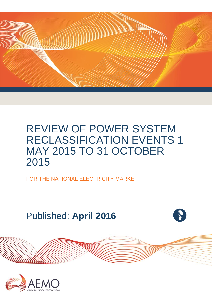

FOR THE NATIONAL ELECTRICITY MARKET

Published: **April 2016**

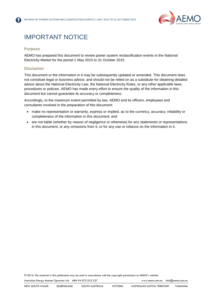

## IMPORTANT NOTICE

#### **Purpose**

AEMO has prepared this document to review power system reclassification events in the National Electricity Market for the period 1 May 2015 to 31 October 2015.

#### **Disclaimer**

This document or the information in it may be subsequently updated or amended. This document does not constitute legal or business advice, and should not be relied on as a substitute for obtaining detailed advice about the National Electricity Law, the National Electricity Rules, or any other applicable laws, procedures or policies. AEMO has made every effort to ensure the quality of the information in this document but cannot guarantee its accuracy or completeness.

Accordingly, to the maximum extent permitted by law, AEMO and its officers, employees and consultants involved in the preparation of this document:

- make no representation or warranty, express or implied, as to the currency, accuracy, reliability or completeness of the information in this document; and
- are not liable (whether by reason of negligence or otherwise) for any statements or representations in this document, or any omissions from it, or for any use or reliance on the information in it.

© 2016. The material in this publication may be used in accordance with the [copyright permissions](http://www.aemo.com.au/en/About-AEMO/Copyright-Permissions) on AEMO's website.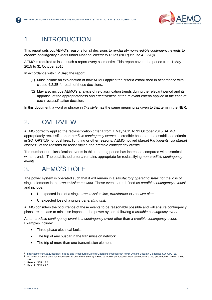

### 1. INTRODUCTION

This report sets out AEMO's reasons for all decisions to re-classify *non-credible contingency events* to *credible contingency events* under National electricity Rules (NER) clause 4.2.3A(i).

AEMO is required to issue such a report every six months. This report covers the period from 1 May 2015 to 31 October 2015.

In accordance with 4.2.3A(i) the report:

- (1) Must include an explanation of how AEMO applied the criteria established in accordance with clause 4.2.3B for each of these decisions.
- (2) May also include AEMO's analysis of re-classification trends during the relevant period and its appraisal of the appropriateness and effectiveness of the relevant criteria applied in the case of each reclassification decision.

In this document, a word or phrase in *this style* has the same meaning as given to that term in the NER.

### 2. OVERVIEW

AEMO correctly applied the reclassification criteria from 1 May 2015 to 31 October 2015. AEMO appropriately reclassified *non-credible contingency events* as credible based on the established criteria in SO\_OP3715<sup>1</sup> for bushfires, lightning or other reasons. AEMO notified *Market Participants*, via *Market Notices*<sup>2</sup> , of the reasons for reclassifying *non-credible contingency events*.

The number of reclassification events in this reporting period has increased compared with historical winter trends. The established criteria remains appropriate for reclassifying *non-credible contingency events*.

### 3. AEMO'S ROLE

The power system is operated such that it will remain in a *satisfactory operating state*<sup>3</sup> for the loss of single elements in the *transmission network*. These events are defined as *credible contingency events*<sup>4</sup> and include:

- Unexpected loss of a single *transmission line*, *transformer* or *reactive plant*.
- Unexpected loss of a single *generating unit*.

AEMO considers the occurrence of these events to be reasonably possible and will ensure contingency plans are in place to minimise impact on the power system following a *credible contingency event*.

A *non-credible contingency event* is a *contingency event* other than a *credible contingency event*. Examples include:

- Three phase electrical faults.
- The trip of any busbar in the transmission network.
- The trip of more than one transmission element.

Refer to NER 4.2.3

l

<sup>1</sup> [http://aemo.com.au/Electricity/Policies-and-Procedures/System-Operating-Procedures/Power-System-Security-Guidelines-SO\\_OP3715.](http://aemo.com.au/Electricity/Policies-and-Procedures/System-Operating-Procedures/Power-System-Security-Guidelines-SO_OP3715)

<sup>2</sup> A Market Notice is an email notification issued in real time by AEMO to market participants. Market Notices are also published on AEMO's web site. Refer to NER 4.2.2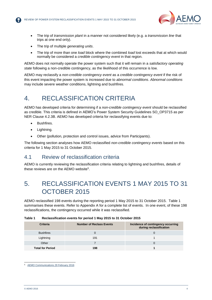

- The trip of *transmission plant* in a manner not considered likely (e.g. a *transmission line* that trips at one end only).
- The trip of multiple *generating units*.
- The trip of more than one *load* block where the combined *load* lost exceeds that at which would normally be considered a *credible contingency event* in that region.

AEMO does not normally operate the power system such that it will remain in a *satisfactory operating state* following a non-credible contingency, as the likelihood of this occurrence is low.

AEMO may reclassify a *non-credible contingency event* as a *credible contingency event* if the risk of this event impacting the power system is increased due to *abnormal conditions*. *Abnormal conditions* may include severe weather conditions, lightning and bushfires.

### 4. RECLASSIFICATION CRITERIA

AEMO has developed criteria for determining if a *non-credible contingency event* should be reclassified as credible. This criteria is defined in AEMO's Power System Security Guidelines SO\_OP3715 as per NER Clause 4.2.3B. AEMO has developed criteria for reclassifying events due to:

- Bushfires.
- Lightning.
- Other (pollution, protection and control issues, advice from Participants).

The following section analyses how AEMO reclassified *non-credible contingency events* based on this criteria for 1 May 2015 to 31 October 2015.

#### 4.1 Review of reclassification criteria

AEMO is currently reviewing the reclassification criteria relating to lightning and bushfires, details of these reviews are on the AEMO website<sup>5</sup>.

### 5. RECLASSIFICATION EVENTS 1 MAY 2015 TO 31 OCTOBER 2015

AEMO reclassified 198 events during the reporting period 1 May 2015 to 31 October 2015. [Table 1](#page-3-0) summarises these events. Refer to [Appendix A](#page-8-0) for a complete list of events. In one event, of these 198 reclassifications, the contingency occurred while it was reclassified.

| <b>Criteria</b>         | <b>Number of Reclass Events</b> | Incidence of contingency occurring<br>during reclassification |
|-------------------------|---------------------------------|---------------------------------------------------------------|
| <b>Bushfires</b>        |                                 |                                                               |
| Lightning               | 191                             |                                                               |
| Other                   |                                 |                                                               |
| <b>Total for Period</b> | 198                             |                                                               |

#### <span id="page-3-0"></span>**Table 1 Reclassification events for period 1 May 2015 to 31 October 2015**

l <sup>5</sup> [AEMO Communications 29 February 2016](http://us10.campaign-archive1.com/?u=eae433173c2b1acb87c5b07d1&id=aebe222b1c&e=%5bUNIQID%5d)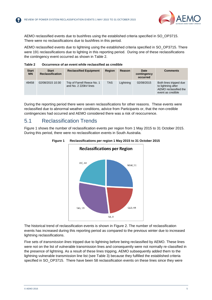

AEMO reclassified events due to bushfires using the established criteria specified in SO\_OP3715. There were no reclassifications due to bushfires in this period.

AEMO reclassified events due to lightning using the established criteria specified in SO\_OP3715. There were 191 reclassifications due to lighting in this reporting period. During one of these reclassifications the contingency event occurred as shown in [Table 2.](#page-4-0)

<span id="page-4-0"></span>**Table 2 Occurrence of an event while reclassified as credible**

| <b>Start</b><br><b>MN</b> | <b>Start</b><br><b>Reclassification</b> | <b>Reclassified Equipment</b>                        | Region     | Reason    | Date<br>contingency<br>occurred | <b>Comments</b>                                                                            |
|---------------------------|-----------------------------------------|------------------------------------------------------|------------|-----------|---------------------------------|--------------------------------------------------------------------------------------------|
| 49458                     | 02/08/2015 10:30                        | Trip of Farrell Reece No. 1<br>and No. 2 220kV lines | <b>TAS</b> | Lightning | 02/08/2015                      | Both lines tripped due<br>to lightning after<br>AEMO reclassified the<br>event as credible |

During the reporting period there were seven reclassifications for other reasons. These events were reclassified due to abnormal weather conditions, advice from Participants or, that the non-credible contingencies had occurred and AEMO considered there was a risk of reoccurrence.

### 5.1 Reclassification Trends

<span id="page-4-1"></span>[Figure 1](#page-4-1) shows the number of reclassification events per region from 1 May 2015 to 31 October 2015. During this period, there were no reclassification events in South Australia.



#### **Figure 1 Reclassifications per region 1 May 2015 to 31 October 2015**

The historical trend of reclassification events is shown in [Figure 2.](#page-5-0) The number of reclassification events has increased during this reporting period as compared to the previous winter due to increased lightning reclassifications.

Five sets of *transmission lines* tripped due to lightning before being reclassified by AEMO. These lines were not on the list of vulnerable transmission lines and consequently were not normally re-classified in the presence of lightning. As a result of these lines tripping, AEMO subsequently added them to the lightning vulnerable transmission line list (see [Table 3\)](#page-5-1) because they fulfilled the established criteria specified in SO\_OP3715. There have been 58 reclassification events on these lines since they were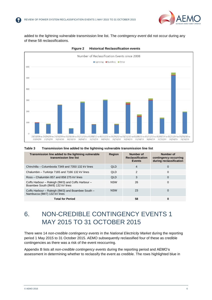

added to the lightning vulnerable transmission line list. The *contingency event* did not occur during any of these 58 reclassifications.

<span id="page-5-0"></span>



#### <span id="page-5-1"></span>**Table 3 Transmission line added to the lightning vulnerable transmission line list**

| Transmission line added to the lightning vulnerable<br>transmission line list         | <b>Region</b> | Number of<br><b>Reclassification</b><br><b>Events</b> | Number of<br>contingency occurring<br>during reclassification |
|---------------------------------------------------------------------------------------|---------------|-------------------------------------------------------|---------------------------------------------------------------|
| Chinchilla – Columboola 7349 and 7350 132 kV lines                                    | <b>QLD</b>    | 4                                                     | 0                                                             |
| Chalumbin - Turkinje 7165 and 7166 132 kV lines                                       | <b>QLD</b>    | $\mathcal{P}$                                         | 0                                                             |
| Ross - Chalumbin 857 and 858 275 kV lines                                             | <b>QLD</b>    | 3                                                     | 0                                                             |
| Coffs Harbour – Raleigh (9W3) and Coffs Harbour –<br>Boambee South (9W8) 132 kV lines | <b>NSW</b>    | 26                                                    | 0                                                             |
| Coffs Harbour - Raleigh (9W3) and Boambee South -<br>Nambucca (9W7) 132 kV lines      | <b>NSW</b>    | 23                                                    | 0                                                             |
| <b>Total for Period</b>                                                               |               | 58                                                    | 0                                                             |

## 6. NON-CREDIBLE CONTINGENCY EVENTS 1 MAY 2015 TO 31 OCTOBER 2015

There were 14 *non-credible contingency events* in the *National Electricity Market* during the reporting period 1 May 2015 to 31 October 2015. AEMO subsequently reclassified four of these as credible contingencies as there was a risk of the event reoccurring.

[Appendix B](#page-18-0) lists all *non-credible contingency events* during the reporting period and AEMO's assessment in determining whether to reclassify the event as credible. The rows highlighted blue in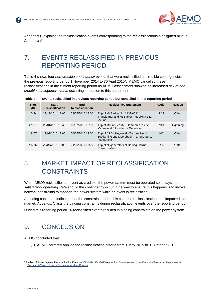

[Appendix B](#page-18-0) explains the reclassification events corresponding to the reclassifications highlighted blue in [Appendix A.](#page-8-0)

### 7. EVENTS RECLASSIFIED IN PREVIOUS REPORTING PERIOD

[Table 4](#page-6-0) shows four *non*-*credible contingency events* that were reclassified as credible contingencies in the previous reporting period 1 November 2014 to 30 April 2015<sup>6</sup> . AEMO cancelled these reclassifications in the current reporting period as AEMO assessment showed no increased risk of *noncredible contingency events* occurring in relation to this equipment.

<span id="page-6-0"></span>

| Table 4 | Events reclassified in previous reporting period but cancelled in this reporting period |  |  |  |  |
|---------|-----------------------------------------------------------------------------------------|--|--|--|--|
|---------|-----------------------------------------------------------------------------------------|--|--|--|--|

| <b>Start</b><br><b>MN</b> | <b>Start</b><br><b>Reclassification</b> | End<br><b>Reclassification</b> | <b>Reclassified Equipment</b>                                                                     | Region     | Reason    |
|---------------------------|-----------------------------------------|--------------------------------|---------------------------------------------------------------------------------------------------|------------|-----------|
| 47434                     | 29/12/2014 17:00                        | 22/05/2015 17:00               | Trip of Mt Barker No.2 132/66 kV<br>Transformer and Mt Barker - Mobilong 132<br>kV line           | <b>TAS</b> | Other     |
| 47857                     | 23/01/2015 18:45                        | 16/07/2015 16:00               | Trip of Mount Beauty - Dartmouth PS 220<br>kV line and Eildon No. 2 Generator                     | VIC.       | Lightning |
| 48167                     | 13/02/2015 19:05                        | 20/05/2015 13:00               | Trip of APD - Heywood - Tarrone No. 1<br>500 kV line and Moorabool - Tarrone No. 1<br>500 kV line | VIC.       | Other     |
| 48755                     | 20/04/2015 13:00                        | 04/05/2015 12:30               | Trip of all generators at Darling Downs<br><b>Power Station</b>                                   | <b>QLD</b> | Other     |

### 8. MARKET IMPACT OF RECLASSIFICATION **CONSTRAINTS**

When AEMO reclassifies an event as credible, the power system must be operated so it stays in a *satisfactory operating state* should the contingency occur. One way to ensure this happens is to invoke network constraints to manage the power system while an event is reclassified.

A binding constraint indicates that the constraint, and in this case the reclassification, has impacted the market. [Appendix C](#page-20-0) lists the binding constraints during reclassification events over the reporting period.

During this reporting period 16 reclassified events resulted in binding constraints on the power system.

### 9. CONCLUSION

AEMO concluded that:

(1) AEMO correctly applied the reclassification criteria from 1 May 2015 to 31 October 2015.

l <sup>6</sup> Review of Power System Reclassification Events - 1/11/2014-30/4/2015 report[: http://www.aemo.com.au/Electricity/Resources/Reports-and-](http://www.aemo.com.au/Electricity/Resources/Reports-and-Documents/Power-System-Operating-Incident-Reports)[Documents/Power-System-Operating-Incident-Reports](http://www.aemo.com.au/Electricity/Resources/Reports-and-Documents/Power-System-Operating-Incident-Reports)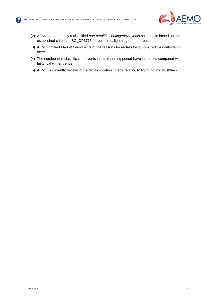

- (2) AEMO appropriately reclassified *non-credible contingency events* as credible based on the established criteria in SO\_OP3715 for bushfires, lightning or other reasons.
- (3) AEMO notified *Market Participants* of the reasons for reclassifying *non-credible contingency events*.
- (4) The number of reclassification events in this reporting period have increased compared with historical winter trends.
- (5) AEMO is currently reviewing the reclassification criteria relating to lightning and bushfires.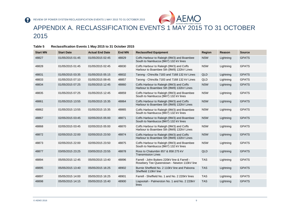

### APPENDIX A. RECLASSIFICATION EVENTS 1 MAY 2015 TO 31 OCTOBER 2015

#### **Table 5 Reclassification Events 1 May 2015 to 31 October 2015**

<span id="page-8-0"></span>

| <b>Start MN</b> | <b>Start Date</b> | <b>Actual End Date</b> | <b>End MN</b> | <b>Reclassified Equipment</b>                                                                | Region     | Reason    | <b>Source</b> |
|-----------------|-------------------|------------------------|---------------|----------------------------------------------------------------------------------------------|------------|-----------|---------------|
| 48827           | 01/05/2015 01:45  | 01/05/2015 02:45       | 48829         | Coffs Harbour to Raleigh (9W3) and Boambee<br>South to Nambucca (9W7) 132 kV lines           | <b>NSW</b> | Lightning | <b>GPATS</b>  |
| 48828           | 01/05/2015 01:45  | 01/05/2015 02:45       | 48830         | Coffs Harbour to Raleigh (9W3) and Coffs<br>Harbour to Boambee Sth (9W8) 132kV Lines         | <b>NSW</b> | Lightning | <b>GPATS</b>  |
| 48831           | 01/05/2015 03:35  | 01/05/2015 05:15       | 48832         | Tarong - Chincilla 7183 and 7168 132 kV Lines                                                | QLD        | Lightning | <b>GPATS</b>  |
| 48833           | 01/05/2015 07:10  | 01/05/2015 09:45       | 48857         | Tarong - Chincilla 7183 and 7168 132 kV Lines                                                | QLD        | Lightning | <b>GPATS</b>  |
| 48834           | 01/05/2015 07:25  | 01/05/2015 12:45       | 48860         | Coffs Harbour to Raleigh (9W3) and Coffs<br>Harbour to Boambee Sth (9W8) 132kV Lines         | <b>NSW</b> | Lightning | <b>GPATS</b>  |
| 48835           | 01/05/2015 07:25  | 01/05/2015 12:45       | 48859         | Coffs Harbour to Raleigh (9W3) and Boambee<br>South to Nambucca (9W7) 132 kV lines           | <b>NSW</b> | Lightning | <b>GPATS</b>  |
| 48861           | 01/05/2015 13:55  | 01/05/2015 15:35       | 48864         | Coffs Harbour to Raleigh (9W3) and Coffs<br>Harbour to Boambee Sth (9W8) 132kV Lines         | <b>NSW</b> | Lightning | <b>GPATS</b>  |
| 48862           | 01/05/2015 13:55  | 01/05/2015 15:35       | 48865         | Coffs Harbour to Raleigh (9W3) and Boambee<br>South to Nambucca (9W7) 132 kV lines           | <b>NSW</b> | Lightning | <b>GPATS</b>  |
| 48867           | 02/05/2015 03:45  | 02/05/2015 05:00       | 48871         | Coffs Harbour to Raleigh (9W3) and Boambee<br>South to Nambucca (9W7) 132 kV lines           | <b>NSW</b> | Lightning | <b>GPATS</b>  |
| 48868           | 02/05/2015 03:45  | 02/05/2015 05:00       | 48870         | Coffs Harbour to Raleigh (9W3) and Coffs<br>Harbour to Boambee Sth (9W8) 132kV Lines         | <b>NSW</b> | Lightning | <b>GPATS</b>  |
| 48872           | 02/05/2015 22:00  | 02/05/2015 23:50       | 48874         | Coffs Harbour to Raleigh (9W3) and Coffs<br>Harbour to Boambee Sth (9W8) 132kV Lines         | <b>NSW</b> | Lightning | <b>GPATS</b>  |
| 48873           | 02/05/2015 22:00  | 02/05/2015 23:50       | 48875         | Coffs Harbour to Raleigh (9W3) and Boambee<br>South to Nambucca (9W7) 132 kV lines           | <b>NSW</b> | Lightning | <b>GPATS</b>  |
| 48877           | 03/05/2015 23:25  | 03/05/2015 23:55       | 48878         | Ross to Chalumbin 857 & 858 275 kV<br><b>Transmission Lines</b>                              | QLD        | Lightning | <b>GPATS</b>  |
| 48894           | 05/05/2015 12:45  | 05/05/2015 13:40       | 48896         | Farrell - John Butters 220kV line & Farrell -<br>Rosebery Tee Queenstown - Newton 110kV line | <b>TAS</b> | Lightning | <b>GPATS</b>  |
| 48895           | 05/05/2015 13:40  | 05/05/2015 16:25       | 48902         | Burnie Sheffield No. 2 110kV line and Paloona<br>Sheffield 110kV line                        | <b>TAS</b> | Lightning | <b>GPATS</b>  |
| 48897           | 05/05/2015 14:00  | 05/05/2015 16:25       | 48901         | Farrell - Sheffield No. 1 and No. 2 220kV lines                                              | <b>TAS</b> | Lightning | <b>GPATS</b>  |
| 48898           | 05/05/2015 14:15  | 05/05/2015 15:40       | 48900         | Liapootah - Palmerston No. 1 and No. 2 220kV<br>lines                                        | <b>TAS</b> | Lightning | <b>GPATS</b>  |

2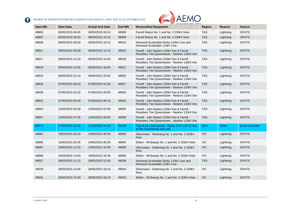

| <b>Start MN</b> | <b>Start Date</b> | <b>Actual End Date</b> | <b>End MN</b> | <b>Reclassified Equipment</b>                                                                | <b>Region</b> | Reason    | <b>Source</b>         |
|-----------------|-------------------|------------------------|---------------|----------------------------------------------------------------------------------------------|---------------|-----------|-----------------------|
| 48905           | 06/05/2015 08:40  | 06/05/2015 09:15       | 48906         | Farrell Reece No. 1 and No. 2 220kV lines                                                    | <b>TAS</b>    | Lightning | <b>GPATS</b>          |
| 48907           | 06/05/2015 09:25  | 06/05/2015 10:15       | 48909         | Farrell Reece No. 1 and No. 2 220kV lines                                                    | <b>TAS</b>    | Lightning | <b>GPATS</b>          |
| 48908           | 06/05/2015 09:30  | 06/05/2015 10:15       | 48910         | Norwood-Scottsdale-Derby 110kV Line and<br>Norwood-Scottsdale 110kV Line                     | <b>TAS</b>    | Lightning | <b>GPATS</b>          |
| 48911           | 06/05/2015 09:30  | 06/05/2015 10:15       | 48912         | Farrell - John Butters 220kV line & Farrell -<br>Rosebery Tee Queenstown - Newton 110kV line | <b>TAS</b>    | Lightning | <b>GPATS</b>          |
| 48917           | 06/05/2015 14:10  | 06/05/2015 14:45       | 48918         | Farrell - John Butters 220kV line & Farrell -<br>Rosebery Tee Queenstown - Newton 110kV line | <b>TAS</b>    | Lightning | <b>GPATS</b>          |
| 48919           | 06/05/2015 15:55  | 06/05/2015 18:45       | 48921         | Farrell - John Butters 220kV line & Farrell -<br>Rosebery Tee Queenstown - Newton 110kV line | <b>TAS</b>    | Lightning | <b>GPATS</b>          |
| 48924           | 06/05/2015 22:10  | 06/05/2015 23:55       | 48925         | Farrell - John Butters 220kV line & Farrell -<br>Rosebery Tee Queenstown - Newton 110kV line | <b>TAS</b>    | Lightning | <b>GPATS</b>          |
| 48926           | 07/05/2015 00:10  | 07/05/2015 01:00       | 48927         | Farrell - John Butters 220kV line & Farrell -<br>Rosebery Tee Queenstown - Newton 110kV line | <b>TAS</b>    | Lightning | <b>GPATS</b>          |
| 48928           | 07/05/2015 02:25  | 07/05/2015 03:00       | 48929         | Farrell - John Butters 220kV line & Farrell -<br>Rosebery Tee Queenstown - Newton 110kV line | <b>TAS</b>    | Lightning | <b>GPATS</b>          |
| 48931           | 07/05/2015 05:40  | 07/05/2015 06:15       | 48932         | Farrell - John Butters 220kV line & Farrell -<br>Rosebery Tee Queenstown - Newton 110kV line | <b>TAS</b>    | Lightning | <b>GPATS</b>          |
| 48953           | 12/05/2015 05:30  | 12/05/2015 07:00       | 48954         | Farrell - John Butters 220kV line & Farrell -<br>Rosebery Tee Queenstown - Newton 110kV line | <b>TAS</b>    | Lightning | <b>GPATS</b>          |
| 48957           | 12/05/2015 07:55  | 12/05/2015 08:55       | 48958         | Farrell - John Butters 220kV line & Farrell -<br>Rosebery Tee Queenstown - Newton 110kV line | <b>TAS</b>    | Lightning | <b>GPATS</b>          |
| 48974           | 17/05/2015 21:30  | 11/06/2015 14:15       | 49158         | Trip of the Columboola - Roma 7174 132 kV line<br>at the Columboola end only                 | <b>QLD</b>    | Other     | <b>Event occurred</b> |
| 48981           | 19/05/2015 05:20  | 19/05/2015 08:30       | 48984         | Glenrowan - Dederang No. 1 and No. 3 220kV<br>lines                                          | <b>VIC</b>    | Lightning | <b>GPATS</b>          |
| 48982           | 19/05/2015 05:55  | 19/05/2015 08:30       | 48983         | Eildon - Mt Beauty No. 1 and No. 2 220kV lines                                               | <b>VIC</b>    | Lightning | <b>GPATS</b>          |
| 48987           | 19/05/2015 13:15  | 19/05/2015 16:30       | 48989         | Glenrowan - Dederang No. 1 and No. 3 220kV<br>lines                                          | <b>VIC</b>    | Lightning | <b>GPATS</b>          |
| 48988           | 19/05/2015 14:00  | 19/05/2015 16:30       | 48990         | Eildon - Mt Beauty No. 1 and No. 2 220kV lines                                               | <b>VIC</b>    | Lightning | <b>GPATS</b>          |
| 49037           | 28/05/2015 11:15  | 28/05/2015 12:05       | 49038         | Norwood-Scottsdale-Derby 110kV Line and<br>Norwood-Scottsdale 110kV Line                     | <b>TAS</b>    | Lightning | <b>GPATS</b>          |
| 49039           | 28/05/2015 14:30  | 28/05/2015 18:10       | 49044         | Glenrowan - Dederang No. 1 and No. 3 220kV<br>lines                                          | <b>VIC</b>    | Lightning | <b>GPATS</b>          |
| 49041           | 28/05/2015 15:40  | 28/05/2015 18:10       | 49043         | Eildon - Mt Beauty No. 1 and No. 2 220kV lines                                               | <b>VIC</b>    | Lightning | <b>GPATS</b>          |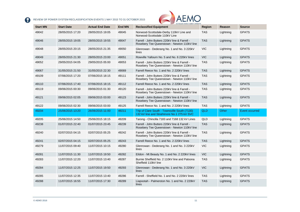

|                 |                   |                        |               | AUSTRALIAN ENERGY MARKET OPERATOR                                                            |            |           |                |
|-----------------|-------------------|------------------------|---------------|----------------------------------------------------------------------------------------------|------------|-----------|----------------|
| <b>Start MN</b> | <b>Start Date</b> | <b>Actual End Date</b> | <b>End MN</b> | <b>Reclassified Equipment</b>                                                                | Region     | Reason    | <b>Source</b>  |
| 49042           | 28/05/2015 17:20  | 28/05/2015 19:05       | 49045         | Norwood-Scottsdale-Derby 110kV Line and<br>Norwood-Scottsdale 110kV Line                     | <b>TAS</b> | Lightning | <b>GPATS</b>   |
| 49046           | 28/05/2015 19:05  | 28/05/2015 19:55       | 49047         | Farrell - John Butters 220kV line & Farrell -<br>Rosebery Tee Queenstown - Newton 110kV line | <b>TAS</b> | Lightning | <b>GPATS</b>   |
| 49048           | 28/05/2015 20:15  | 28/05/2015 21:35       | 49050         | Glenrowan - Dederang No. 1 and No. 3 220kV<br>lines                                          | <b>VIC</b> | Lightning | <b>GPATS</b>   |
| 49049           | 28/05/2015 21:30  | 28/05/2015 23:00       | 49051         | Rowville Yallourn No. 5 and No. 6 220kV lines                                                | VIC.       | Lightning | <b>GPATS</b>   |
| 49052           | 29/05/2015 04:05  | 29/05/2015 05:00       | 49053         | Farrell - John Butters 220kV line & Farrell -<br>Rosebery Tee Queenstown - Newton 110kV line | <b>TAS</b> | Lightning | <b>GPATS</b>   |
| 49067           | 31/05/2015 21:50  | 31/05/2015 22:30       | 49069         | Farrell Reece No. 1 and No. 2 220kV lines                                                    | <b>TAS</b> | Lightning | <b>GPATS</b>   |
| 49109           | 07/06/2015 17:20  | 07/06/2015 18:15       | 49111         | Farrell - John Butters 220kV line & Farrell -<br>Rosebery Tee Queenstown - Newton 110kV line | <b>TAS</b> | Lightning | <b>GPATS</b>   |
| 49110           | 07/06/2015 17:40  | 07/06/2015 18:15       | 49112         | Farrell Reece No. 1 and No. 2 220kV lines                                                    | <b>TAS</b> | Lightning | <b>GPATS</b>   |
| 49119           | 09/06/2015 00:30  | 09/06/2015 01:30       | 49120         | Farrell - John Butters 220kV line & Farrell -<br>Rosebery Tee Queenstown - Newton 110kV line | <b>TAS</b> | Lightning | <b>GPATS</b>   |
| 49121           | 09/06/2015 02:05  | 09/06/2015 03:00       | 49123         | Farrell - John Butters 220kV line & Farrell -<br>Rosebery Tee Queenstown - Newton 110kV line | <b>TAS</b> | Lightning | <b>GPATS</b>   |
| 49122           | 09/06/2015 02:30  | 09/06/2015 03:00       | 49125         | Farrell Reece No. 1 and No. 2 220kV lines                                                    | <b>TAS</b> | Lightning | <b>GPATS</b>   |
| 49204           | 25/06/2015 13:20  | 26/06/2015 11:00       | 49211         | Trip of Clare South - Townsville South (7130)<br>132 kV line and Strathmore No.1 275 kV SVC  | <b>QLD</b> | Other     | Event occurred |
| 49205           | 25/06/2015 14:50  | 25/06/2015 18:15       | 49209         | Tarong - Chincilla 7183 and 7168 132 kV Lines                                                | QLD        | Lightning | <b>GPATS</b>   |
| 49238           | 01/07/2015 22:40  | 01/07/2015 23:45       | 49239         | Farrell - John Butters 220kV line & Farrell -<br>Rosebery Tee Queenstown - Newton 110kV line | <b>TAS</b> | Lightning | <b>GPATS</b>   |
| 49240           | 02/07/2015 04:15  | 02/07/2015 05:25       | 49242         | Farrell - John Butters 220kV line & Farrell -<br>Rosebery Tee Queenstown - Newton 110kV line | <b>TAS</b> | Lightning | <b>GPATS</b>   |
| 49241           | 02/07/2015 04:15  | 02/07/2015 05:25       | 49243         | Farrell Reece No. 1 and No. 2 220kV lines                                                    | <b>TAS</b> | Lightning | <b>GPATS</b>   |
| 49279           | 11/07/2015 09:40  | 11/07/2015 10:15       | 49280         | Glenrowan - Dederang No. 1 and No. 3 220kV<br>lines                                          | <b>VIC</b> | Lightning | <b>GPATS</b>   |
| 49281           | 11/07/2015 11:30  | 11/07/2015 19:50       | 49282         | Eildon - Mt Beauty No. 1 and No. 2 220kV lines                                               | VIC.       | Lightning | <b>GPATS</b>   |
| 49283           | 11/07/2015 12:20  | 11/07/2015 13:40       | 49287         | Burnie Sheffield No. 2 110kV line and Paloona<br>Sheffield 110kV line                        | <b>TAS</b> | Lightning | <b>GPATS</b>   |
| 49284           | 11/07/2015 12:25  | 11/07/2015 19:50       | 49293         | Glenrowan - Dederang No. 1 and No. 3 220kV<br>lines                                          | VIC.       | Lightning | <b>GPATS</b>   |
| 49285           | 11/07/2015 12:35  | 11/07/2015 13:40       | 49286         | Farrell - Sheffield No. 1 and No. 2 220kV lines                                              | <b>TAS</b> | Lightning | <b>GPATS</b>   |
| 49288           | 11/07/2015 16:55  | 11/07/2015 17:30       | 49289         | Liapootah - Palmerston No. 1 and No. 2 220kV<br>lines                                        | <b>TAS</b> | Lightning | <b>GPATS</b>   |
|                 |                   |                        |               |                                                                                              |            |           |                |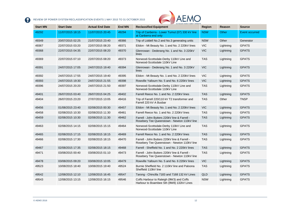

| <b>Start MN</b> | <b>Start Date</b> | <b>Actual End Date</b> | <b>End MN</b> | AUSTRALIAN ENERGY MARKET OPERATO<br><b>Reclassified Equipment</b>                            | <b>Region</b> | Reason    | <b>Source</b>         |
|-----------------|-------------------|------------------------|---------------|----------------------------------------------------------------------------------------------|---------------|-----------|-----------------------|
| 49292           | 11/07/2015 18:15  | 11/07/2015 20:45       | 49294         | Trip of Canberra - Lower Tumut (07) 330 kV line<br>at Canberra end only                      | <b>NSW</b>    | Other     | <b>Event occurred</b> |
| 49349           | 20/07/2015 02:25  | 21/07/2015 23:40       | 49366         | Trip of Liddell No.2 and No.3 generating units                                               | <b>NSW</b>    | Other     | Generator             |
| 49367           | 22/07/2015 03:20  | 22/07/2015 08:20       | 49371         | Eildon - Mt Beauty No. 1 and No. 2 220kV lines                                               | <b>VIC</b>    | Lightning | <b>GPATS</b>          |
| 49368           | 22/07/2015 04:35  | 22/07/2015 08:20       | 49370         | Glenrowan - Dederang No. 1 and No. 3 220kV<br>lines                                          | <b>VIC</b>    | Lightning | <b>GPATS</b>          |
| 49369           | 22/07/2015 07:10  | 22/07/2015 08:20       | 49373         | Norwood-Scottsdale-Derby 110kV Line and<br>Norwood-Scottsdale 110kV Line                     | <b>TAS</b>    | Lightning | <b>GPATS</b>          |
| 49391           | 24/07/2015 17:05  | 24/07/2015 19:40       | 49394         | Glenrowan - Dederang No. 1 and No. 3 220kV<br>lines                                          | <b>VIC</b>    | Lightning | <b>GPATS</b>          |
| 49392           | 24/07/2015 17:55  | 24/07/2015 19:40       | 49395         | Eildon - Mt Beauty No. 1 and No. 2 220kV lines                                               | <b>VIC</b>    | Lightning | <b>GPATS</b>          |
| 49393           | 24/07/2015 19:30  | 24/07/2015 21:55       | 49398         | Rowville Yallourn No. 5 and No. 6 220kV lines                                                | <b>VIC</b>    | Lightning | <b>GPATS</b>          |
| 49396           | 24/07/2015 20:20  | 24/07/2015 21:50       | 49397         | Norwood-Scottsdale-Derby 110kV Line and<br>Norwood-Scottsdale 110kV Line                     | <b>TAS</b>    | Lightning | <b>GPATS</b>          |
| 49401           | 26/07/2015 03:40  | 26/07/2015 04:25       | 49402         | Farrell Reece No. 1 and No. 2 220kV lines                                                    | <b>TAS</b>    | Lightning | <b>GPATS</b>          |
| 49404           | 26/07/2015 23:20  | 27/07/2015 13:05       | 49416         | Trip of Farrell 220/110 kV T2 transformer and<br>Farrell 220 kV A Busbar                     | <b>TAS</b>    | Other     | <b>TNSP</b>           |
| 49456           | 01/08/2015 23:40  | 02/08/2015 00:30       | 49457         | Eildon - Mt Beauty No. 1 and No. 2 220kV lines                                               | VIC.          | Lightning | <b>GPATS</b>          |
| 49458           | 02/08/2015 10:30  | 02/08/2015 11:30       | 49461         | Farrell Reece No. 1 and No. 2 220kV lines                                                    | <b>TAS</b>    | Lightning | <b>GPATS</b>          |
| 49459           | 02/08/2015 10:30  | 02/08/2015 11:30       | 49462         | Farrell - John Butters 220kV line & Farrell -<br>Rosebery Tee Queenstown - Newton 110kV line | <b>TAS</b>    | Lightning | <b>GPATS</b>          |
| 49463           | 02/08/2015 14:15  | 02/08/2015 15:15       | 49464         | Norwood-Scottsdale-Derby 110kV Line and<br>Norwood-Scottsdale 110kV Line                     | <b>TAS</b>    | Lightning | <b>GPATS</b>          |
| 49465           | 02/08/2015 17:15  | 02/08/2015 18:15       | 49469         | Farrell Reece No. 1 and No. 2 220kV lines                                                    | <b>TAS</b>    | Lightning | <b>GPATS</b>          |
| 49466           | 02/08/2015 17:30  | 02/08/2015 18:15       | 49470         | Farrell - John Butters 220kV line & Farrell -<br>Rosebery Tee Queenstown - Newton 110kV line | <b>TAS</b>    | Lightning | <b>GPATS</b>          |
| 49467           | 02/08/2015 17:35  | 02/08/2015 18:15       | 49468         | Farrell - Sheffield No. 1 and No. 2 220kV lines                                              | <b>TAS</b>    | Lightning | <b>GPATS</b>          |
| 49471           | 03/08/2015 00:40  | 03/08/2015 01:10       | 49473         | Farrell - John Butters 220kV line & Farrell -<br>Rosebery Tee Queenstown - Newton 110kV line | <b>TAS</b>    | Lightning | <b>GPATS</b>          |
| 49478           | 03/08/2015 09:20  | 03/08/2015 10:05       | 49479         | Rowville Yallourn No. 5 and No. 6 220kV lines                                                | <b>VIC</b>    | Lightning | <b>GPATS</b>          |
| 49523           | 10/08/2015 18:40  | 10/08/2015 19:40       | 49524         | Burnie Sheffield No. 2 110kV line and Paloona<br>Sheffield 110kV line                        | <b>TAS</b>    | Lightning | <b>GPATS</b>          |
| 49542           | 12/08/2015 12:10  | 12/08/2015 16:45       | 49547         | Tarong - Chincilla 7183 and 7168 132 kV Lines                                                | QLD           | Lightning | <b>GPATS</b>          |
| 49543           | 12/08/2015 13:15  | 12/08/2015 16:15       | 49546         | Coffs Harbour to Raleigh (9W3) and Coffs<br>Harbour to Boambee Sth (9W8) 132kV Lines         | <b>NSW</b>    | Lightning | <b>GPATS</b>          |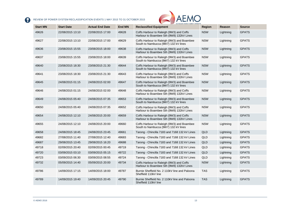

| <b>Start MN</b> | <b>Start Date</b> | <b>Actual End Date</b> | <b>End MN</b> | AUSTRALIAN ENERGY MARKET OPERATOR<br><b>Reclassified Equipment</b>                   | <b>Region</b> | Reason    | <b>Source</b> |
|-----------------|-------------------|------------------------|---------------|--------------------------------------------------------------------------------------|---------------|-----------|---------------|
| 49626           | 22/08/2015 13:10  | 22/08/2015 17:00       | 49628         | Coffs Harbour to Raleigh (9W3) and Coffs<br>Harbour to Boambee Sth (9W8) 132kV Lines | <b>NSW</b>    | Lightning | <b>GPATS</b>  |
| 49627           | 22/08/2015 13:10  | 22/08/2015 17:00       | 49629         | Coffs Harbour to Raleigh (9W3) and Boambee<br>South to Nambucca (9W7) 132 kV lines   | <b>NSW</b>    | Lightning | <b>GPATS</b>  |
| 49636           | 23/08/2015 15:55  | 23/08/2015 18:00       | 49638         | Coffs Harbour to Raleigh (9W3) and Coffs<br>Harbour to Boambee Sth (9W8) 132kV Lines | <b>NSW</b>    | Lightning | <b>GPATS</b>  |
| 49637           | 23/08/2015 15:55  | 23/08/2015 18:00       | 49639         | Coffs Harbour to Raleigh (9W3) and Boambee<br>South to Nambucca (9W7) 132 kV lines   | <b>NSW</b>    | Lightning | <b>GPATS</b>  |
| 49640           | 23/08/2015 18:30  | 23/08/2015 21:30       | 49644         | Coffs Harbour to Raleigh (9W3) and Boambee<br>South to Nambucca (9W7) 132 kV lines   | <b>NSW</b>    | Lightning | <b>GPATS</b>  |
| 49641           | 23/08/2015 18:30  | 23/08/2015 21:30       | 49643         | Coffs Harbour to Raleigh (9W3) and Coffs<br>Harbour to Boambee Sth (9W8) 132kV Lines | <b>NSW</b>    | Lightning | <b>GPATS</b>  |
| 49645           | 24/08/2015 01:15  | 24/08/2015 02:00       | 49647         | Coffs Harbour to Raleigh (9W3) and Boambee<br>South to Nambucca (9W7) 132 kV lines   | <b>NSW</b>    | Lightning | <b>GPATS</b>  |
| 49646           | 24/08/2015 01:15  | 24/08/2015 02:00       | 49648         | Coffs Harbour to Raleigh (9W3) and Coffs<br>Harbour to Boambee Sth (9W8) 132kV Lines | <b>NSW</b>    | Lightning | <b>GPATS</b>  |
| 49649           | 24/08/2015 05:40  | 24/08/2015 07:35       | 49653         | Coffs Harbour to Raleigh (9W3) and Boambee<br>South to Nambucca (9W7) 132 kV lines   | <b>NSW</b>    | Lightning | <b>GPATS</b>  |
| 49650           | 24/08/2015 05:40  | 24/08/2015 07:35       | 49652         | Coffs Harbour to Raleigh (9W3) and Coffs<br>Harbour to Boambee Sth (9W8) 132kV Lines | <b>NSW</b>    | Lightning | <b>GPATS</b>  |
| 49654           | 24/08/2015 12:10  | 24/08/2015 20:00       | 49659         | Coffs Harbour to Raleigh (9W3) and Coffs<br>Harbour to Boambee Sth (9W8) 132kV Lines | <b>NSW</b>    | Lightning | <b>GPATS</b>  |
| 49655           | 24/08/2015 12:10  | 24/08/2015 20:00       | 49660         | Coffs Harbour to Raleigh (9W3) and Boambee<br>South to Nambucca (9W7) 132 kV lines   | <b>NSW</b>    | Lightning | <b>GPATS</b>  |
| 49658           | 24/08/2015 18:45  | 24/08/2015 23:45       | 49661         | Tarong - Chincilla 7183 and 7168 132 kV Lines                                        | QLD           | Lightning | <b>GPATS</b>  |
| 49682           | 27/08/2015 11:40  | 27/08/2015 12:40       | 49683         | Tarong - Chincilla 7183 and 7168 132 kV Lines                                        | QLD           | Lightning | <b>GPATS</b>  |
| 49687           | 29/08/2015 13:45  | 29/08/2015 16:20       | 49688         | Tarong - Chincilla 7183 and 7168 132 kV Lines                                        | <b>QLD</b>    | Lightning | <b>GPATS</b>  |
| 49718           | 02/09/2015 20:40  | 02/09/2015 00:45       | 49719         | Tarong - Chincilla 7183 and 7168 132 kV Lines                                        | QLD           | Lightning | <b>GPATS</b>  |
| 49720           | 03/09/2015 03:10  | 03/09/2015 05:15       | 49722         | Tarong - Chincilla 7183 and 7168 132 kV Lines                                        | QLD           | Lightning | <b>GPATS</b>  |
| 49723           | 03/09/2015 06:30  | 03/09/2015 08:55       | 49724         | Tarong - Chincilla 7183 and 7168 132 kV Lines                                        | <b>QLD</b>    | Lightning | <b>GPATS</b>  |
| 49732           | 05/09/2015 14:40  | 05/09/2015 20:00       | 49734         | Coffs Harbour to Raleigh (9W3) and Coffs<br>Harbour to Boambee Sth (9W8) 132kV Lines | <b>NSW</b>    | Lightning | <b>GPATS</b>  |
| 49786           | 14/09/2015 17:15  | 14/09/2015 18:00       | 49787         | Burnie Sheffield No. 2 110kV line and Paloona<br>Sheffield 110kV line                | <b>TAS</b>    | Lightning | <b>GPATS</b>  |
| 49789           | 14/09/2015 19:40  | 14/09/2015 20:45       | 49790         | Burnie Sheffield No. 2 110kV line and Paloona<br>Sheffield 110kV line                | <b>TAS</b>    | Lightning | <b>GPATS</b>  |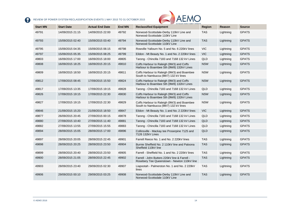

|                 |                   |                        |               | AUSTRALIAN ENERGY MARKET OPERATOR                                                            |               |           |               |
|-----------------|-------------------|------------------------|---------------|----------------------------------------------------------------------------------------------|---------------|-----------|---------------|
| <b>Start MN</b> | <b>Start Date</b> | <b>Actual End Date</b> | <b>End MN</b> | <b>Reclassified Equipment</b>                                                                | <b>Region</b> | Reason    | <b>Source</b> |
| 49791           | 14/09/2015 21:15  | 14/09/2015 22:00       | 49792         | Norwood-Scottsdale-Derby 110kV Line and<br>Norwood-Scottsdale 110kV Line                     | <b>TAS</b>    | Lightning | <b>GPATS</b>  |
| 49793           | 15/09/2015 02:40  | 15/09/2015 03:40       | 49794         | Norwood-Scottsdale-Derby 110kV Line and<br>Norwood-Scottsdale 110kV Line                     | <b>TAS</b>    | Lightning | <b>GPATS</b>  |
| 49795           | 15/09/2015 04:35  | 15/09/2015 06:15       | 49798         | Rowville Yallourn No. 5 and No. 6 220kV lines                                                | <b>VIC</b>    | Lightning | <b>GPATS</b>  |
| 49797           | 15/09/2015 05:35  | 15/09/2015 08:25       | 49799         | Eildon - Mt Beauty No. 1 and No. 2 220kV lines                                               | <b>VIC</b>    | Lightning | <b>GPATS</b>  |
| 49803           | 16/09/2015 17:00  | 16/09/2015 18:00       | 49805         | Tarong - Chincilla 7183 and 7168 132 kV Lines                                                | QLD           | Lightning | <b>GPATS</b>  |
| 49808           | 16/09/2015 18:25  | 16/09/2015 20:15       | 49810         | Coffs Harbour to Raleigh (9W3) and Coffs<br>Harbour to Boambee Sth (9W8) 132kV Lines         | <b>NSW</b>    | Lightning | <b>GPATS</b>  |
| 49809           | 16/09/2015 18:50  | 16/09/2015 20:15       | 49811         | Coffs Harbour to Raleigh (9W3) and Boambee<br>South to Nambucca (9W7) 132 kV lines           | <b>NSW</b>    | Lightning | <b>GPATS</b>  |
| 49812           | 17/09/2015 08:45  | 17/09/2015 15:50       | 49824         | Coffs Harbour to Raleigh (9W3) and Coffs<br>Harbour to Boambee Sth (9W8) 132kV Lines         | <b>NSW</b>    | Lightning | <b>GPATS</b>  |
| 49817           | 17/09/2015 13:35  | 17/09/2015 19:15       | 49828         | Tarong - Chincilla 7183 and 7168 132 kV Lines                                                | QLD           | Lightning | <b>GPATS</b>  |
| 49826           | 17/09/2015 19:15  | 17/09/2015 22:30       | 49830         | Coffs Harbour to Raleigh (9W3) and Coffs<br>Harbour to Boambee Sth (9W8) 132kV Lines         | <b>NSW</b>    | Lightning | <b>GPATS</b>  |
| 49827           | 17/09/2015 19:15  | 17/09/2015 22:30       | 49829         | Coffs Harbour to Raleigh (9W3) and Boambee<br>South to Nambucca (9W7) 132 kV lines           | <b>NSW</b>    | Lightning | <b>GPATS</b>  |
| 49846           | 21/09/2015 15:20  | 21/09/2015 18:50       | 49847         | Eildon - Mt Beauty No. 1 and No. 2 220kV lines                                               | <b>VIC</b>    | Lightning | <b>GPATS</b>  |
| 49877           | 26/09/2015 20:45  | 27/09/2015 00:15       | 49878         | Tarong - Chincilla 7183 and 7168 132 kV Lines                                                | QLD           | Lightning | <b>GPATS</b>  |
| 49880           | 27/09/2015 10:40  | 27/09/2015 11:40       | 49881         | Tarong - Chincilla 7183 and 7168 132 kV Lines                                                | QLD           | Lightning | <b>GPATS</b>  |
| 49882           | 27/09/2015 13:55  | 27/09/2015 15:55       | 49883         | Tarong - Chincilla 7183 and 7168 132 kV Lines                                                | QLD           | Lightning | <b>GPATS</b>  |
| 49894           | 28/09/2015 15:05  | 28/09/2015 17:00       | 49896         | Collinsville - Mackay tee Proserpine 7125 and<br>7126 132kV Lines                            | QLD           | Lightning | <b>GPATS</b>  |
| 49897           | 28/09/2015 20:05  | 28/09/2015 22:45       | 49901         | Farrell Reece No. 1 and No. 2 220kV lines                                                    | <b>TAS</b>    | Lightning | <b>GPATS</b>  |
| 49898           | 28/09/2015 20:25  | 28/09/2015 23:50       | 49904         | Burnie Sheffield No. 2 110kV line and Paloona<br>Sheffield 110kV line                        | <b>TAS</b>    | Lightning | <b>GPATS</b>  |
| 49899           | 28/09/2015 20:40  | 28/09/2015 23:50       | 49905         | Farrell - Sheffield No. 1 and No. 2 220kV lines                                              | <b>TAS</b>    | Lightning | <b>GPATS</b>  |
| 49900           | 28/09/2015 21:05  | 28/09/2015 22:45       | 49902         | Farrell - John Butters 220kV line & Farrell -<br>Rosebery Tee Queenstown - Newton 110kV line | <b>TAS</b>    | Lightning | <b>GPATS</b>  |
| 49903           | 28/09/2015 23:40  | 29/09/2015 02:30       | 49907         | Liapootah - Palmerston No. 1 and No. 2 220kV<br>lines                                        | <b>TAS</b>    | Lightning | <b>GPATS</b>  |
| 49906           | 29/09/2015 00:10  | 29/09/2015 03:25       | 49908         | Norwood-Scottsdale-Derby 110kV Line and<br>Norwood-Scottsdale 110kV Line                     | <b>TAS</b>    | Lightning | <b>GPATS</b>  |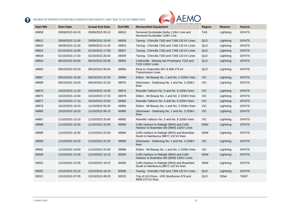

|                 |                   |                        |               | AUSTRALIAN ENERGY MARKET OPERATOR                                                    |            |               |               |
|-----------------|-------------------|------------------------|---------------|--------------------------------------------------------------------------------------|------------|---------------|---------------|
| <b>Start MN</b> | <b>Start Date</b> | <b>Actual End Date</b> | <b>End MN</b> | <b>Reclassified Equipment</b>                                                        | Region     | <b>Reason</b> | <b>Source</b> |
| 49909           | 29/09/2015 04:10  | 29/09/2015 05:10       | 49910         | Norwood-Scottsdale-Derby 110kV Line and<br>Norwood-Scottsdale 110kV Line             | <b>TAS</b> | Lightning     | <b>GPATS</b>  |
| 49912           | 29/09/2015 12:45  | 29/09/2015 16:40       | 49918         | Tarong - Chincilla 7183 and 7168 132 kV Lines                                        | QLD        | Lightning     | <b>GPATS</b>  |
| 49920           | 30/09/2015 12:35  | 30/09/2015 21:20       | 49923         | Tarong - Chincilla 7183 and 7168 132 kV Lines                                        | QLD        | Lightning     | <b>GPATS</b>  |
| 49924           | 01/10/2015 13:00  | 01/10/2015 17:00       | 49927         | Tarong - Chincilla 7183 and 7168 132 kV Lines                                        | QLD        | Lightning     | <b>GPATS</b>  |
| 49928           | 01/10/2015 17:20  | 01/10/2015 20:40       | 49929         | Tarong - Chincilla 7183 and 7168 132 kV Lines                                        | QLD        | Lightning     | <b>GPATS</b>  |
| 49944           | 06/10/2015 03:00  | 06/10/2015 03:30       | 49955         | Collinsville - Mackay tee Proserpine 7125 and<br>7126 132kV Lines                    | QLD        | Lightning     | <b>GPATS</b>  |
| 49963           | 09/10/2015 05:20  | 09/10/2015 06:40       | 49964         | Ross to Chalumbin 857 & 858 275 kV<br><b>Transmission Lines</b>                      | QLD        | Lightning     | <b>GPATS</b>  |
| 49967           | 09/10/2015 16:30  | 09/10/2015 22:20       | 49969         | Eildon - Mt Beauty No. 1 and No. 2 220kV lines                                       | <b>VIC</b> | Lightning     | <b>GPATS</b>  |
| 49968           | 09/10/2015 19:20  | 09/10/2015 22:20       | 49970         | Glenrowan - Dederang No. 1 and No. 3 220kV<br>lines                                  | <b>VIC</b> | Lightning     | <b>GPATS</b>  |
| 49973           | 10/10/2015 11:30  | 10/10/2015 14:00       | 49974         | Rowville Yallourn No. 5 and No. 6 220kV lines                                        | <b>VIC</b> | Lightning     | <b>GPATS</b>  |
| 49975           | 10/10/2015 14:50  | 10/10/2015 17:25       | 49978         | Eildon - Mt Beauty No. 1 and No. 2 220kV lines                                       | <b>VIC</b> | Lightning     | <b>GPATS</b>  |
| 49977           | 10/10/2015 17:10  | 10/10/2015 23:05       | 49982         | Rowville Yallourn No. 5 and No. 6 220kV lines                                        | <b>VIC</b> | Lightning     | <b>GPATS</b>  |
| 49979           | 10/10/2015 19:10  | 11/10/2015 05:35       | 49984         | Eildon - Mt Beauty No. 1 and No. 2 220kV lines                                       | <b>VIC</b> | Lightning     | <b>GPATS</b>  |
| 49980           | 10/10/2015 19:10  | 11/10/2015 06:15       | 49985         | Glenrowan - Dederang No. 1 and No. 3 220kV<br>lines                                  | <b>VIC</b> | Lightning     | <b>GPATS</b>  |
| 49987           | 11/10/2015 15:10  | 11/10/2015 20:40       | 49992         | Rowville Yallourn No. 5 and No. 6 220kV lines                                        | <b>VIC</b> | Lightning     | <b>GPATS</b>  |
| 49988           | 11/10/2015 16:35  | 11/10/2015 22:00       | 49993         | Coffs Harbour to Raleigh (9W3) and Coffs<br>Harbour to Boambee Sth (9W8) 132kV Lines | <b>NSW</b> | Lightning     | <b>GPATS</b>  |
| 49989           | 11/10/2015 16:35  | 11/10/2015 22:00       | 49994         | Coffs Harbour to Raleigh (9W3) and Boambee<br>South to Nambucca (9W7) 132 kV lines   | <b>NSW</b> | Lightning     | <b>GPATS</b>  |
| 49990           | 11/10/2015 19:25  | 11/10/2015 22:35       | 49995         | Glenrowan - Dederang No. 1 and No. 3 220kV<br>lines                                  | <b>VIC</b> | Lightning     | <b>GPATS</b>  |
| 49991           | 11/10/2015 19:50  | 11/10/2015 23:30       | 49996         | Eildon - Mt Beauty No. 1 and No. 2 220kV lines                                       | <b>VIC</b> | Lightning     | <b>GPATS</b>  |
| 50000           | 12/10/2015 13:35  | 12/10/2015 16:15       | 50004         | Coffs Harbour to Raleigh (9W3) and Coffs<br>Harbour to Boambee Sth (9W8) 132kV Lines | <b>NSW</b> | Lightning     | <b>GPATS</b>  |
| 50001           | 12/10/2015 13:35  | 12/10/2015 16:15       | 50005         | Coffs Harbour to Raleigh (9W3) and Boambee<br>South to Nambucca (9W7) 132 kV lines   | <b>NSW</b> | Lightning     | <b>GPATS</b>  |
| 50002           | 12/10/2015 15:15  | 12/10/2015 18:10       | 50006         | Tarong - Chincilla 7183 and 7168 132 kV Lines                                        | QLD        | Lightning     | <b>GPATS</b>  |
| 50021           | 13/10/2015 07:05  | 13/10/2015 09:20       | 50023         | Trip of H13 Ross - H35 Strathmore 879 and<br>8858 275 kV lines                       | QLD        | Other         | <b>TNSP</b>   |
|                 |                   |                        |               |                                                                                      |            |               |               |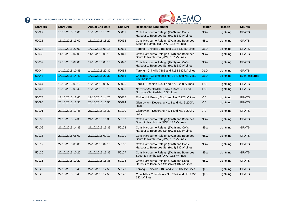

|                 |                   |                        |               | <b>WAUSTRALIAN ENERGY MARKET OPERATOR</b>                                            |               |           |                       |
|-----------------|-------------------|------------------------|---------------|--------------------------------------------------------------------------------------|---------------|-----------|-----------------------|
| <b>Start MN</b> | <b>Start Date</b> | <b>Actual End Date</b> | <b>End MN</b> | <b>Reclassified Equipment</b>                                                        | <b>Region</b> | Reason    | <b>Source</b>         |
| 50027           | 13/10/2015 13:00  | 13/10/2015 18:20       | 50031         | Coffs Harbour to Raleigh (9W3) and Coffs<br>Harbour to Boambee Sth (9W8) 132kV Lines | <b>NSW</b>    | Lightning | <b>GPATS</b>          |
| 50028           | 13/10/2015 13:00  | 13/10/2015 18:20       | 50032         | Coffs Harbour to Raleigh (9W3) and Boambee<br>South to Nambucca (9W7) 132 kV lines   | <b>NSW</b>    | Lightning | <b>GPATS</b>          |
| 50033           | 13/10/2015 20:00  | 14/10/2015 03:15       | 50035         | Tarong - Chincilla 7183 and 7168 132 kV Lines                                        | QLD           | Lightning | <b>GPATS</b>          |
| 50038           | 14/10/2015 07:05  | 14/10/2015 08:15       | 50041         | Coffs Harbour to Raleigh (9W3) and Boambee<br>South to Nambucca (9W7) 132 kV lines   | <b>NSW</b>    | Lightning | <b>GPATS</b>          |
| 50039           | 14/10/2015 07:05  | 14/10/2015 08:15       | 50040         | Coffs Harbour to Raleigh (9W3) and Coffs<br>Harbour to Boambee Sth (9W8) 132kV Lines | <b>NSW</b>    | Lightning | <b>GPATS</b>          |
| 50044           | 14/10/2015 10:45  | 14/10/2015 20:30       | 50054         | Tarong - Chincilla 7183 and 7168 132 kV Lines                                        | QLD           | Lightning | <b>GPATS</b>          |
| 50048           | 14/10/2015 14:40  | 14/10/2015 20:30       | 50053         | Chinchilla - Columboola No. 7349 and No. 7350<br>132 kV lines                        | <b>QLD</b>    | Lightning | <b>Event occurred</b> |
| 50064           | 16/10/2015 05:10  | 16/10/2015 05:55       | 50065         | Farrell - Sheffield No. 1 and No. 2 220kV lines                                      | <b>TAS</b>    | Lightning | <b>GPATS</b>          |
| 50067           | 16/10/2015 09:40  | 16/10/2015 10:10       | 50068         | Norwood-Scottsdale-Derby 110kV Line and<br>Norwood-Scottsdale 110kV Line             | <b>TAS</b>    | Lightning | <b>GPATS</b>          |
| 50074           | 17/10/2015 12:45  | 17/10/2015 14:20       | 50075         | Eildon - Mt Beauty No. 1 and No. 2 220kV lines                                       | <b>VIC</b>    | Lightning | <b>GPATS</b>          |
| 50090           | 20/10/2015 13:35  | 20/10/2015 16:55       | 50094         | Glenrowan - Dederang No. 1 and No. 3 220kV<br>lines                                  | <b>VIC</b>    | Lightning | <b>GPATS</b>          |
| 50101           | 21/10/2015 12:45  | 21/10/2015 18:30       | 50110         | Glenrowan - Dederang No. 1 and No. 3 220kV<br>lines                                  | <b>VIC</b>    | Lightning | <b>GPATS</b>          |
| 50105           | 21/10/2015 14:35  | 21/10/2015 16:35       | 50107         | Coffs Harbour to Raleigh (9W3) and Boambee<br>South to Nambucca (9W7) 132 kV lines   | <b>NSW</b>    | Lightning | <b>GPATS</b>          |
| 50106           | 21/10/2015 14:35  | 21/10/2015 16:35       | 50108         | Coffs Harbour to Raleigh (9W3) and Coffs<br>Harbour to Boambee Sth (9W8) 132kV Lines | <b>NSW</b>    | Lightning | <b>GPATS</b>          |
| 50116           | 22/10/2015 08:00  | 22/10/2015 09:10       | 50119         | Coffs Harbour to Raleigh (9W3) and Boambee<br>South to Nambucca (9W7) 132 kV lines   | <b>NSW</b>    | Lightning | <b>GPATS</b>          |
| 50117           | 22/10/2015 08:00  | 22/10/2015 09:10       | 50118         | Coffs Harbour to Raleigh (9W3) and Coffs<br>Harbour to Boambee Sth (9W8) 132kV Lines | <b>NSW</b>    | Lightning | <b>GPATS</b>          |
| 50120           | 22/10/2015 10:20  | 22/10/2015 16:35       | 50127         | Coffs Harbour to Raleigh (9W3) and Boambee<br>South to Nambucca (9W7) 132 kV lines   | <b>NSW</b>    | Lightning | <b>GPATS</b>          |
| 50121           | 22/10/2015 10:20  | 22/10/2015 16:35       | 50126         | Coffs Harbour to Raleigh (9W3) and Coffs<br>Harbour to Boambee Sth (9W8) 132kV Lines | <b>NSW</b>    | Lightning | <b>GPATS</b>          |
| 50122           | 22/10/2015 13:40  | 22/10/2015 17:50       | 50129         | Tarong - Chincilla 7183 and 7168 132 kV Lines                                        | QLD           | Lightning | <b>GPATS</b>          |
| 50123           | 22/10/2015 13:40  | 22/10/2015 17:50       | 50128         | Chinchilla - Columboola No. 7349 and No. 7350<br>132 kV lines                        | QLD           | Lightning | <b>GPATS</b>          |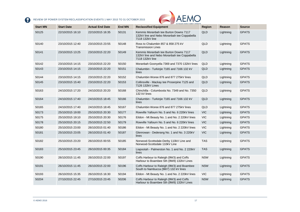

| <b>Start MN</b> | <b>Start Date</b> | <b>Actual End Date</b> | <b>End MN</b> | <b>Reclassified Equipment</b>                                                                           | <b>Region</b> | Reason    | <b>Source</b> |
|-----------------|-------------------|------------------------|---------------|---------------------------------------------------------------------------------------------------------|---------------|-----------|---------------|
| 50125           | 22/10/2015 16:10  | 22/10/2015 16:35       | 50131         | Kemmis Moranbah tee Burton Downs 7117<br>132kV line and Nebo Moranbah tee Coppabella<br>7118 132kV line | QLD           | Lightning | <b>GPATS</b>  |
| 50140           | 23/10/2015 12:40  | 23/10/2015 23:55       | 50148         | Ross to Chalumbin 857 & 858 275 kV<br><b>Transmission Lines</b>                                         | QLD           | Lightning | <b>GPATS</b>  |
| 50141           | 23/10/2015 13:25  | 23/10/2015 22:20       | 50149         | Kemmis Moranbah tee Burton Downs 7117<br>132kV line and Nebo Moranbah tee Coppabella<br>7118 132kV line | QLD           | Lightning | <b>GPATS</b>  |
| 50142           | 23/10/2015 14:15  | 23/10/2015 22:20       | 50150         | Moranbah Goonyella 7369 and 7370 132kV lines                                                            | QLD           | Lightning | <b>GPATS</b>  |
| 50143           | 23/10/2015 14:15  | 23/10/2015 22:20       | 50151         | Chalumbin - Turkinjie 7165 and 7166 132 kV<br>lines                                                     | QLD           | Lightning | <b>GPATS</b>  |
| 50144           | 23/10/2015 14:15  | 23/10/2015 22:20       | 50152         | Chalumbin Woree 876 and 877 275kV lines                                                                 | QLD           | Lightning | <b>GPATS</b>  |
| 50145           | 23/10/2015 15:40  | 23/10/2015 22:20       | 50153         | Collinsville - Mackay tee Proserpine 7125 and<br>7126 132kV Lines                                       | QLD           | Lightning | <b>GPATS</b>  |
| 50163           | 24/10/2015 17:20  | 24/10/2015 20:20       | 50168         | Chinchilla - Columboola No. 7349 and No. 7350<br>132 kV lines                                           | QLD           | Lightning | <b>GPATS</b>  |
| 50164           | 24/10/2015 17:40  | 24/10/2015 18:45       | 50166         | Chalumbin - Turkinjie 7165 and 7166 132 kV<br>lines                                                     | QLD           | Lightning | <b>GPATS</b>  |
| 50165           | 24/10/2015 17:40  | 24/10/2015 18:45       | 50167         | Chalumbin Woree 876 and 877 275kV lines                                                                 | QLD           | Lightning | <b>GPATS</b>  |
| 50173           | 25/10/2015 19:00  | 25/10/2015 20:30       | 50177         | Rowville Yallourn No. 5 and No. 6 220kV lines                                                           | <b>VIC</b>    | Lightning | <b>GPATS</b>  |
| 50175           | 25/10/2015 19:10  | 25/10/2015 20:30       | 50176         | Eildon - Mt Beauty No. 1 and No. 2 220kV lines                                                          | <b>VIC</b>    | Lightning | <b>GPATS</b>  |
| 50178           | 25/10/2015 20:15  | 25/10/2015 22:50       | 50179         | Rowville Yallourn No. 5 and No. 6 220kV lines                                                           | <b>VIC</b>    | Lightning | <b>GPATS</b>  |
| 50180           | 25/10/2015 23:00  | 26/10/2015 01:40       | 50186         | Eildon - Mt Beauty No. 1 and No. 2 220kV lines                                                          | <b>VIC</b>    | Lightning | <b>GPATS</b>  |
| 50181           | 25/10/2015 23:05  | 26/10/2015 01:40       | 50187         | Glenrowan - Dederang No. 1 and No. 3 220kV<br>lines                                                     | <b>VIC</b>    | Lightning | <b>GPATS</b>  |
| 50182           | 25/10/2015 23:20  | 26/10/2015 00:55       | 50185         | Norwood-Scottsdale-Derby 110kV Line and<br>Norwood-Scottsdale 110kV Line                                | <b>TAS</b>    | Lightning | <b>GPATS</b>  |
| 50183           | 25/10/2015 23:45  | 26/10/2015 00:35       | 50184         | Liapootah - Palmerston No. 1 and No. 2 220kV<br>lines                                                   | <b>TAS</b>    | Lightning | <b>GPATS</b>  |
| 50190           | 26/10/2015 11:45  | 26/10/2015 22:00       | 50197         | Coffs Harbour to Raleigh (9W3) and Coffs<br>Harbour to Boambee Sth (9W8) 132kV Lines                    | <b>NSW</b>    | Lightning | <b>GPATS</b>  |
| 50191           | 26/10/2015 11:45  | 26/10/2015 22:00       | 50196         | Coffs Harbour to Raleigh (9W3) and Boambee<br>South to Nambucca (9W7) 132 kV lines                      | <b>NSW</b>    | Lightning | <b>GPATS</b>  |
| 50193           | 26/10/2015 15:35  | 26/10/2015 16:30       | 50194         | Eildon - Mt Beauty No. 1 and No. 2 220kV lines                                                          | <b>VIC</b>    | Lightning | <b>GPATS</b>  |
| 50204           | 27/10/2015 22:45  | 27/10/2015 23:45       | 50206         | Coffs Harbour to Raleigh (9W3) and Coffs<br>Harbour to Boambee Sth (9W8) 132kV Lines                    | <b>NSW</b>    | Lightning | <b>GPATS</b>  |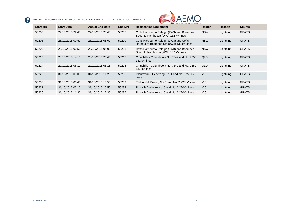

| <b>Start MN</b> | <b>Start Date</b> | <b>Actual End Date</b> | End MN | AUSTRALIAN ENERGY MARKET OPERATOR<br><b>Reclassified Equipment</b>                   | <b>Region</b> | Reason    | <b>Source</b> |
|-----------------|-------------------|------------------------|--------|--------------------------------------------------------------------------------------|---------------|-----------|---------------|
| 50205           | 27/10/2015 22:45  | 27/10/2015 23:45       | 50207  | Coffs Harbour to Raleigh (9W3) and Boambee<br>South to Nambucca (9W7) 132 kV lines   | <b>NSW</b>    | Lightning | <b>GPATS</b>  |
| 50208           | 28/10/2015 00:50  | 28/10/2015 05:00       | 50210  | Coffs Harbour to Raleigh (9W3) and Coffs<br>Harbour to Boambee Sth (9W8) 132kV Lines | <b>NSW</b>    | Lightning | <b>GPATS</b>  |
| 50209           | 28/10/2015 00:50  | 28/10/2015 05:00       | 50211  | Coffs Harbour to Raleigh (9W3) and Boambee<br>South to Nambucca (9W7) 132 kV lines   | <b>NSW</b>    | Lightning | <b>GPATS</b>  |
| 50215           | 28/10/2015 14:10  | 28/10/2015 23:40       | 50217  | Chinchilla - Columboola No. 7349 and No. 7350<br>132 kV lines                        | QLD           | Lightning | <b>GPATS</b>  |
| 50224           | 29/10/2015 06:10  | 29/10/2015 08:15       | 50226  | Chinchilla - Columboola No. 7349 and No. 7350<br>132 kV lines                        | QLD           | Lightning | <b>GPATS</b>  |
| 50229           | 31/10/2015 00:05  | 31/10/2015 11:20       | 50235  | Glenrowan - Dederang No. 1 and No. 3 220kV<br>lines                                  | <b>VIC</b>    | Lightning | <b>GPATS</b>  |
| 50230           | 31/10/2015 00:40  | 31/10/2015 10:50       | 50233  | Eildon - Mt Beauty No. 1 and No. 2 220kV lines                                       | VIC.          | Lightning | <b>GPATS</b>  |
| 50231           | 31/10/2015 05:15  | 31/10/2015 10:50       | 50234  | Rowville Yallourn No. 5 and No. 6 220kV lines                                        | <b>VIC</b>    | Lightning | <b>GPATS</b>  |
| 50236           | 31/10/2015 11:30  | 31/10/2015 12:35       | 50237  | Rowville Yallourn No. 5 and No. 6 220kV lines                                        | VIC.          | Lightning | <b>GPATS</b>  |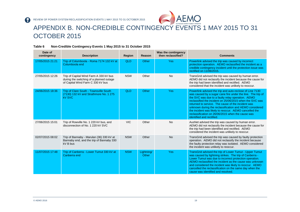

### APPENDIX B. NON-CREDIBLE CONTINGENCY EVENTS 1 MAY 2015 TO 31 OCTOBER 2015

<span id="page-18-0"></span>

| Date of<br>contingency | <b>Description</b>                                                                                                      | Region     | Reason              | Was the contingency<br>then reclassified? | <b>Comments</b>                                                                                                                                                                                                                                                                                                                                                                                                                                                                                       |
|------------------------|-------------------------------------------------------------------------------------------------------------------------|------------|---------------------|-------------------------------------------|-------------------------------------------------------------------------------------------------------------------------------------------------------------------------------------------------------------------------------------------------------------------------------------------------------------------------------------------------------------------------------------------------------------------------------------------------------------------------------------------------------|
| 17/05/2015 21:21       | Trip of Columboola - Roma 7174 132 kV at<br>Columboola end                                                              | <b>QLD</b> | Other               | <b>Yes</b>                                | Powerlink advised the trip was caused by incorrect<br>protection operation. AEMO reclassified the incident as a<br>credible contingency incident until the protection issue was<br>rectified on 11/06/2015.                                                                                                                                                                                                                                                                                           |
| 27/05/2015 12:26       | Trip of Capital Wind Farm A 330 kV bus<br>during the switching of a planned outage<br>of Capital Wind Farm C 330 kV bus | <b>NSW</b> | Other               | <b>No</b>                                 | TransGrid advised the trip was caused by human error.<br>AEMO did not reclassify the incident because the cause for<br>the trip had been identified and rectified. AEMO<br>considered that the incident was unlikely to reoccur.                                                                                                                                                                                                                                                                      |
| 24/06/2015 18:36       | Trip of Clare South - Townsville South<br>(7130) 132 kV and Strathmore No. 1 275<br><b>kV SVC</b>                       | QLD        | Other               | <b>Yes</b>                                | Powerlink advised the trip and auto-reclose of Line 7130<br>was caused by a sugar cane fire under the line. The trip of<br>the SVC was due to a faulty relay operation. AEMO<br>reclassified the incident on 25/06/2015 when the SVC was<br>returned to service. The cause of the incident was<br>unknown during the reclassification and AEMO considered<br>the incident was likely to reoccur. AEMO cancelled the<br>reclassification on 26/06/2015 when the cause was<br>identified and rectified. |
| 27/06/2015 15:01       | Trip of Rowville No. 1 220 kV bus, and<br>disconnection of No. 1 220 kV SVC                                             | <b>VIC</b> | Other               | <b>No</b>                                 | AusNet advised the trip was caused by human error.<br>AEMO did not reclassify the incident because the cause for<br>the trip had been identified and rectified. AEMO<br>considered the incident was unlikely to reoccur.                                                                                                                                                                                                                                                                              |
| 02/07/2015 08:02       | Trip of Bannaby - Marulan (36) 330 kV at<br>Bannaby end, and the trip of Bannaby 330<br>kV B bus                        | <b>NSW</b> | Other               | <b>No</b>                                 | TransGrid advised the trip was caused by faulty protection<br>operation. AEMO did not reclassify the incident because<br>the faulty protection relay was isolated. AEMO considered<br>the incident was unlikely to reoccur.                                                                                                                                                                                                                                                                           |
| 11/07/2015 17:48       | Trip of Canberra - Lower Tumut 330 kV at<br>Canberra end                                                                | <b>NSW</b> | Lightning/<br>Other | <b>Yes</b>                                | TransGrid advised the trip of Lower Tumut - Upper Tumut<br>was caused by lightning strikes. The trip of Canberra -<br>Lower Tumut was due to incorrect protection operation.<br>AEMO reclassified the incident as the cause was unknown<br>and considered the incident was likely to reoccur. AEMO<br>cancelled the reclassification on the same day when the<br>cause was identified and resolved.                                                                                                   |

#### **Table 6 Non-Credible Contingency Events 1 May 2015 to 31 October 2015**

2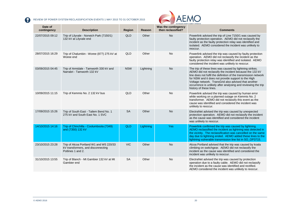

| Date of<br>contingency | <b>Description</b>                                                                                 | <b>Region</b> | Reason    | <b>FRAME AUSTRALIAN ENCRUT MARKET UPERATUR</b><br>Was the contingency<br>then reclassified? | <b>Comments</b>                                                                                                                                                                                                                                                                                                                                                                                   |
|------------------------|----------------------------------------------------------------------------------------------------|---------------|-----------|---------------------------------------------------------------------------------------------|---------------------------------------------------------------------------------------------------------------------------------------------------------------------------------------------------------------------------------------------------------------------------------------------------------------------------------------------------------------------------------------------------|
| 22/07/2015 09:12       | Trip of Lilyvale - Norwich Park (7150/1)<br>132 kV at Lilyvale end                                 | <b>QLD</b>    | Other     | <b>No</b>                                                                                   | Powerlink advised the trip of Line 7150/1 was caused by<br>faulty protection operation. AEMO did not reclassify the<br>incident as the faulty protection relay was identified and<br>isolated. AEMO considered the incident was unlikely to<br>reoccur.                                                                                                                                           |
| 28/07/2015 16:29       | Trip of Chalumbin - Woree (877) 275 kV at<br>Woree end                                             | QLD           | Other     | No                                                                                          | Powerlink advised the trip was caused by faulty protection<br>operation. AEMO did not reclassify the incident as the<br>faulty protection relay was identified and isolated. AEMO<br>considered the incident was unlikely to reoccur.                                                                                                                                                             |
| 03/09/2015 04:45       | Trip of Armidale - Tamworth 330 kV and<br>Narrabri - Tamworth 132 kV                               | <b>NSW</b>    | Lightning | <b>No</b>                                                                                   | The trip of these lines was caused by lightning strikes.<br>AEMO did not reclassify the incident because the 132 kV<br>line does not fulfil the definition of the transmission network<br>for NSW and it does not provide support to the High<br>Voltage network. TransGrid also advised that another<br>occurrence is unlikely after analysing and reviewing the trip<br>history of these lines. |
| 10/09/2015 11:15       | Trip of Kemmis No. 2 132 kV bus                                                                    | QLD           | Other     | <b>No</b>                                                                                   | Powerlink advised the trip was caused by human error<br>while working on a planned outage on Kemmis No. 2<br>transformer. AEMO did not reclassify this event as the<br>cause was identified and considered the incident was<br>unlikely to reoccur.                                                                                                                                               |
| 17/09/2015 15:26       | Trip of South East - Tailem Bend No. 1<br>275 kV and South East No. 1 SVC                          | <b>SA</b>     | Other     | <b>No</b>                                                                                   | ElectraNet advised the trip was caused by unexpected<br>protection operation. AEMO did not reclassify the incident<br>as the cause was identified and considered the incident<br>was unlikely to reoccur.                                                                                                                                                                                         |
| 14/10/2015 14:16       | Trip of Chinchilla - Coolumboola (7349)<br>and (7350) 132 kV                                       | QLD           | Lightning | Yes                                                                                         | Powerlink confirmed the trip was caused by lightning.<br>AEMO reclassified the incident as lightning was detected in<br>the vicinity. The reclassification was cancelled on the same<br>day due to lightning ended. AEMO added these lines to the<br>lightning vulnerable transmission line list in SO OP3715.                                                                                    |
| 23/10/2015 23:28       | Trip of Alcoa Portland W1 and W5 220/33<br>kV transformers, and disconnecting<br>Potlines 1 and 2. | <b>VIC</b>    | Other     | <b>No</b>                                                                                   | Alcoa Portland advised that the trip was caused by koala<br>climbing on switchgear. AEMO did not reclassify the<br>incident as the cause was identified and considered the<br>incident was unlikely to reoccur.                                                                                                                                                                                   |
| 31/10/2015 13:55       | Trip of Blanch - Mt Gambier 132 kV at Mt<br>Gambier end                                            | <b>SA</b>     | Other     | No                                                                                          | ElectraNet advised the trip was caused by protection<br>operation due to a faulty cable. AEMO did not reclassify<br>the incident as the cause was identified and rectified.<br>AEMO considered the incident was unlikely to reoccur.                                                                                                                                                              |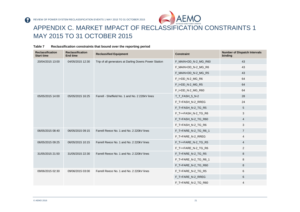

## APPENDIX C. MARKET IMPACT OF RECLASSIFICATION CONSTRAINTS 1 MAY 2015 TO 31 OCTOBER 2015

<span id="page-20-0"></span>

| <b>Reclassification</b><br><b>Start time</b> | <b>Reclassification</b><br><b>End time</b> | <b>Reclassified Equipment</b>                         | <b>Constraint</b>    | <b>Number of Dispatch Intervals</b><br>binding |
|----------------------------------------------|--------------------------------------------|-------------------------------------------------------|----------------------|------------------------------------------------|
| 20/04/2015 13:00                             | 04/05/2015 12:30                           | Trip of all generators at Darling Downs Power Station | F_MAIN+DD_N-2_MG_R60 | 43                                             |
|                                              |                                            |                                                       | F_MAIN+DD_N-2_MG_R6  | 43                                             |
|                                              |                                            |                                                       | F_MAIN+DD_N-2_MG_R5  | 43                                             |
|                                              |                                            |                                                       | F_I+DD_N-2_MG_R6     | 64                                             |
|                                              |                                            |                                                       | F_I+DD_N-2_MG_R5     | 64                                             |
|                                              |                                            |                                                       | F_I+DD_N-2_MG_R60    | 64                                             |
| 05/05/2015 14:00                             | 05/05/2015 16:25                           | Farrell - Sheffield No. 1 and No. 2 220kV lines       | T_T_FASH_5_N-2       | 28                                             |
|                                              |                                            |                                                       | F_T+FASH_N-2_RREG    | 24                                             |
|                                              |                                            |                                                       | F_T+FASH_N-2_TG_R5   | 5                                              |
|                                              |                                            |                                                       | F_T++FASH_N-2_TG_R6  | 3                                              |
|                                              |                                            |                                                       | F_T+FASH_N-2_TG_R60  | $\overline{4}$                                 |
|                                              |                                            |                                                       | F_T+FASH_N-2_TG_R6   | 3                                              |
| 06/05/2015 08:40                             | 06/05/2015 09:15                           | Farrell Reece No. 1 and No. 2 220kV lines             | F_T+FARE_N-2_TG_R6_1 | $\overline{7}$                                 |
|                                              |                                            |                                                       | F_T+FARE_N-2_RREG    | 4                                              |
| 06/05/2015 09:25                             | 06/05/2015 10:15<br>31/05/2015 22:30       | Farrell Reece No. 1 and No. 2 220kV lines             | F_T++FARE_N-2_TG_R5  | $\overline{4}$                                 |
|                                              |                                            |                                                       | F_T++FARE_N-2_TG_R6  | 2                                              |
| 31/05/2015 21:50                             |                                            | Farrell Reece No. 1 and No. 2 220kV lines             | F_T+FARE_N-2_TG_R5   | 8                                              |
|                                              |                                            |                                                       | F_T+FARE_N-2_TG_R6_1 | 8                                              |
|                                              |                                            |                                                       | F_T+FARE_N-2_TG_R60  | 8                                              |
| 09/06/2015 02:30                             | 09/06/2015 03:00                           | Farrell Reece No. 1 and No. 2 220kV lines             | F_T+FARE_N-2_TG_R5   | 6                                              |
|                                              |                                            |                                                       | F_T+FARE_N-2_RREG    | 6                                              |
|                                              |                                            |                                                       | F_T+FARE_N-2_TG_R60  | 4                                              |

#### **Table 7 Reclassification constraints that bound over the reporting period**

P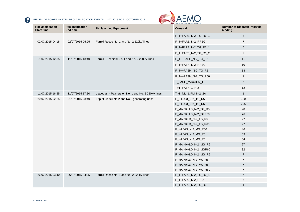

| <b>Reclassification</b><br>Start time | <b>Reclassification</b><br>End time | <b>Reclassified Equipment</b>                      | <b>Constraint</b>    | <b>Number of Dispatch Intervals</b><br>binding |
|---------------------------------------|-------------------------------------|----------------------------------------------------|----------------------|------------------------------------------------|
|                                       |                                     |                                                    | F_T+FARE_N-2_TG_R6_1 | 5                                              |
| 02/07/2015 04:15                      | 02/07/2015 05:25                    | Farrell Reece No. 1 and No. 2 220kV lines          | F_T+FARE_N-2_RREG    | $\overline{7}$                                 |
|                                       |                                     |                                                    | F_T+FARE_N-2_TG_R6_1 | 5                                              |
|                                       |                                     |                                                    | F_T+FARE_N-2_TG_R6_2 | $\overline{2}$                                 |
| 11/07/2015 12:35                      | 11/07/2015 13:40                    | Farrell - Sheffield No. 1 and No. 2 220kV lines    | F_T++FASH_N-2_TG_R6  | 11                                             |
|                                       |                                     |                                                    | F_T+FASH_N-2_RREG    | 10                                             |
|                                       |                                     |                                                    | F_T++FASH_N-2_TG_R5  | 13                                             |
|                                       |                                     |                                                    | F_T++FASH_N-2_TG_R60 | $\mathbf{1}$                                   |
|                                       |                                     |                                                    | T_FASH_MAXGEN_1      | $\overline{7}$                                 |
|                                       |                                     |                                                    | T>T_FASH_1_N-2       | 12                                             |
| 11/07/2015 16:55                      | 11/07/2015 17:30                    | Liapootah - Palmerston No. 1 and No. 2 220kV lines | T>T_NIL_LIPM_N-2_2A  | $\mathbf{1}$                                   |
| 20/07/2015 02:25                      | 21/07/2015 23:40                    | Trip of Liddell No.2 and No.3 generating units     | F_I+LD23_N-2_TG_R5   | 330                                            |
|                                       |                                     |                                                    | F_I+LD23_N-2_TG_R60  | 295                                            |
|                                       |                                     |                                                    | F_MAIN++LD_N-2_TG_R5 | 20                                             |
|                                       |                                     |                                                    | F_MAIN++LD_N-2_TGR60 | 76                                             |
|                                       |                                     |                                                    | F_MAIN+LD_N-2_TG_R5  | 27                                             |
|                                       |                                     |                                                    | F_MAIN+LD_N-2_TG_R60 | 27                                             |
|                                       |                                     |                                                    | F_I+LD23_N-2_MG_R60  | 46                                             |
|                                       |                                     |                                                    | F_I+LD23_N-2_MG_R5   | 69                                             |
|                                       |                                     |                                                    | F_I+LD23_N-2_MG_R6   | 54                                             |
|                                       |                                     |                                                    | F_MAIN++LD_N-2_MG_R6 | 27                                             |
|                                       |                                     |                                                    | F_MAIN++LD_N-2_MGR60 | 32                                             |
|                                       |                                     |                                                    | F_MAIN++LD_N-2_MG_R5 | $\overline{7}$                                 |
|                                       |                                     |                                                    | F_MAIN+LD_N-2_MG_R6  | $\overline{7}$                                 |
|                                       |                                     |                                                    | F_MAIN+LD_N-2_MG_R5  | $\overline{7}$                                 |
|                                       |                                     |                                                    | F_MAIN+LD_N-2_MG_R60 | $\overline{7}$                                 |
| 26/07/2015 03:40                      | 26/07/2015 04:25                    | Farrell Reece No. 1 and No. 2 220kV lines          | F_T+FARE_N-2_TG_R6_1 | $\overline{7}$                                 |
|                                       |                                     |                                                    | F_T+FARE_N-2_RREG    | 6                                              |
|                                       |                                     |                                                    | F_T+FARE_N-2_TG_R5   | $\mathbf{1}$                                   |